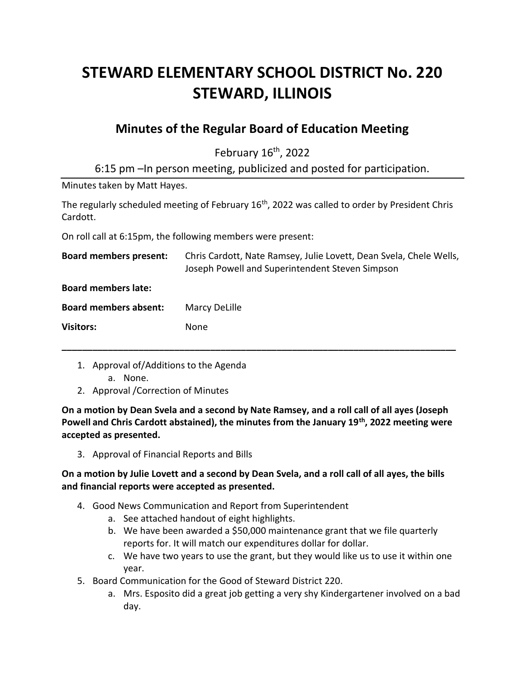# **STEWARD ELEMENTARY SCHOOL DISTRICT No. 220 STEWARD, ILLINOIS**

# **Minutes of the Regular Board of Education Meeting**

February 16<sup>th</sup>, 2022

6:15 pm –In person meeting, publicized and posted for participation.

Minutes taken by Matt Hayes.

The regularly scheduled meeting of February 16<sup>th</sup>, 2022 was called to order by President Chris Cardott.

On roll call at 6:15pm, the following members were present:

| <b>Board members present:</b> | Chris Cardott, Nate Ramsey, Julie Lovett, Dean Svela, Chele Wells,<br>Joseph Powell and Superintendent Steven Simpson |
|-------------------------------|-----------------------------------------------------------------------------------------------------------------------|
| <b>Board members late:</b>    |                                                                                                                       |
| <b>Board members absent:</b>  | Marcy DeLille                                                                                                         |
| <b>Visitors:</b>              | None                                                                                                                  |
|                               |                                                                                                                       |

- 1. Approval of/Additions to the Agenda
	- a. None.
- 2. Approval /Correction of Minutes

**On a motion by Dean Svela and a second by Nate Ramsey, and a roll call of all ayes (Joseph Powell and Chris Cardott abstained), the minutes from the January 19th, 2022 meeting were accepted as presented.**

3. Approval of Financial Reports and Bills

# **On a motion by Julie Lovett and a second by Dean Svela, and a roll call of all ayes, the bills and financial reports were accepted as presented.**

- 4. Good News Communication and Report from Superintendent
	- a. See attached handout of eight highlights.
	- b. We have been awarded a \$50,000 maintenance grant that we file quarterly reports for. It will match our expenditures dollar for dollar.
	- c. We have two years to use the grant, but they would like us to use it within one year.
- 5. Board Communication for the Good of Steward District 220.
	- a. Mrs. Esposito did a great job getting a very shy Kindergartener involved on a bad day.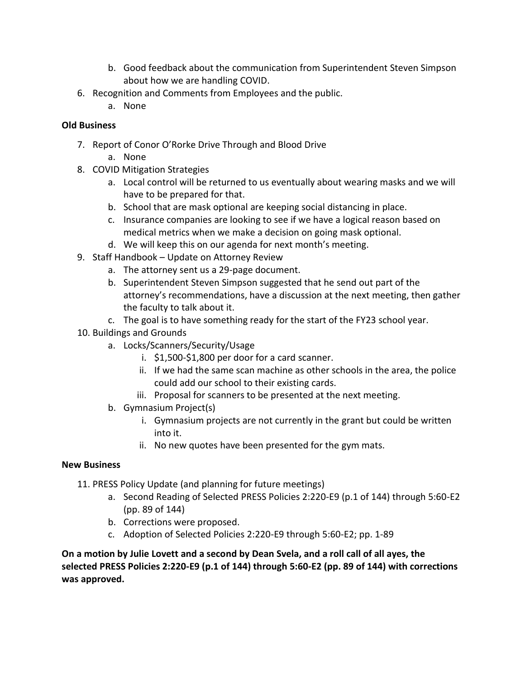- b. Good feedback about the communication from Superintendent Steven Simpson about how we are handling COVID.
- 6. Recognition and Comments from Employees and the public.
	- a. None

# **Old Business**

- 7. Report of Conor O'Rorke Drive Through and Blood Drive
	- a. None
- 8. COVID Mitigation Strategies
	- a. Local control will be returned to us eventually about wearing masks and we will have to be prepared for that.
	- b. School that are mask optional are keeping social distancing in place.
	- c. Insurance companies are looking to see if we have a logical reason based on medical metrics when we make a decision on going mask optional.
	- d. We will keep this on our agenda for next month's meeting.
- 9. Staff Handbook Update on Attorney Review
	- a. The attorney sent us a 29-page document.
	- b. Superintendent Steven Simpson suggested that he send out part of the attorney's recommendations, have a discussion at the next meeting, then gather the faculty to talk about it.
	- c. The goal is to have something ready for the start of the FY23 school year.
- 10. Buildings and Grounds
	- a. Locks/Scanners/Security/Usage
		- i. \$1,500-\$1,800 per door for a card scanner.
		- ii. If we had the same scan machine as other schools in the area, the police could add our school to their existing cards.
		- iii. Proposal for scanners to be presented at the next meeting.
	- b. Gymnasium Project(s)
		- i. Gymnasium projects are not currently in the grant but could be written into it.
		- ii. No new quotes have been presented for the gym mats.

#### **New Business**

- 11. PRESS Policy Update (and planning for future meetings)
	- a. Second Reading of Selected PRESS Policies 2:220-E9 (p.1 of 144) through 5:60-E2 (pp. 89 of 144)
	- b. Corrections were proposed.
	- c. Adoption of Selected Policies 2:220-E9 through 5:60-E2; pp. 1-89

**On a motion by Julie Lovett and a second by Dean Svela, and a roll call of all ayes, the selected PRESS Policies 2:220-E9 (p.1 of 144) through 5:60-E2 (pp. 89 of 144) with corrections was approved.**